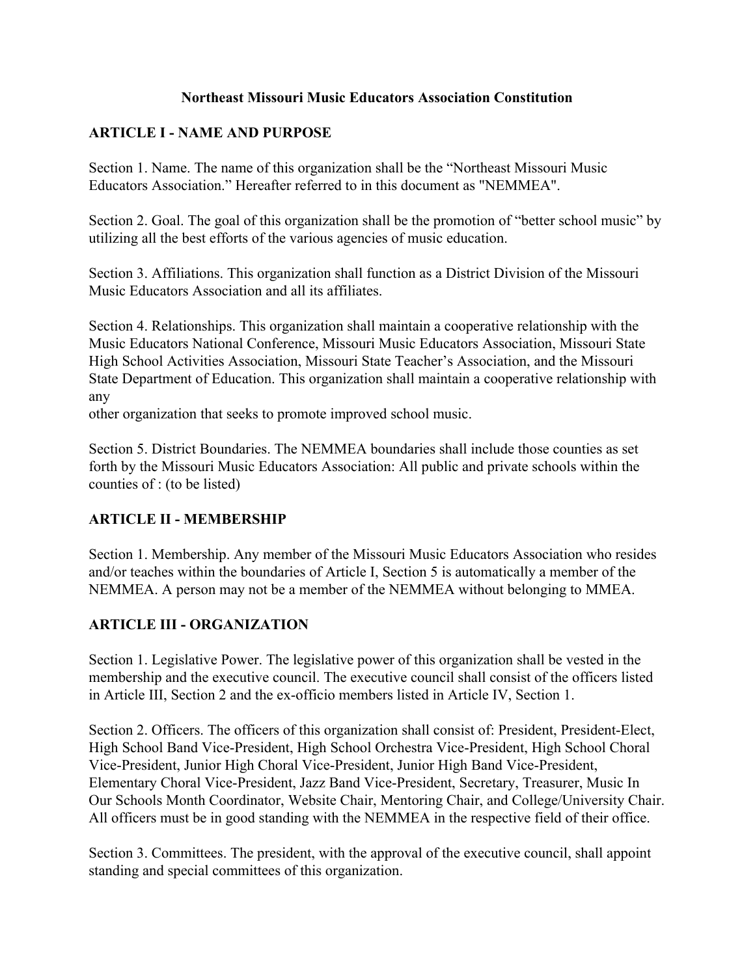#### **Northeast Missouri Music Educators Association Constitution**

#### **ARTICLE I - NAME AND PURPOSE**

Section 1. Name. The name of this organization shall be the "Northeast Missouri Music Educators Association." Hereafter referred to in this document as "NEMMEA".

Section 2. Goal. The goal of this organization shall be the promotion of "better school music" by utilizing all the best efforts of the various agencies of music education.

Section 3. Affiliations. This organization shall function as a District Division of the Missouri Music Educators Association and all its affiliates.

Section 4. Relationships. This organization shall maintain a cooperative relationship with the Music Educators National Conference, Missouri Music Educators Association, Missouri State High School Activities Association, Missouri State Teacher's Association, and the Missouri State Department of Education. This organization shall maintain a cooperative relationship with any

other organization that seeks to promote improved school music.

Section 5. District Boundaries. The NEMMEA boundaries shall include those counties as set forth by the Missouri Music Educators Association: All public and private schools within the counties of : (to be listed)

#### **ARTICLE II - MEMBERSHIP**

Section 1. Membership. Any member of the Missouri Music Educators Association who resides and/or teaches within the boundaries of Article I, Section 5 is automatically a member of the NEMMEA. A person may not be a member of the NEMMEA without belonging to MMEA.

## **ARTICLE III - ORGANIZATION**

Section 1. Legislative Power. The legislative power of this organization shall be vested in the membership and the executive council. The executive council shall consist of the officers listed in Article III, Section 2 and the ex-officio members listed in Article IV, Section 1.

Section 2. Officers. The officers of this organization shall consist of: President, President-Elect, High School Band Vice-President, High School Orchestra Vice-President, High School Choral Vice-President, Junior High Choral Vice-President, Junior High Band Vice-President, Elementary Choral Vice-President, Jazz Band Vice-President, Secretary, Treasurer, Music In Our Schools Month Coordinator, Website Chair, Mentoring Chair, and College/University Chair. All officers must be in good standing with the NEMMEA in the respective field of their office.

Section 3. Committees. The president, with the approval of the executive council, shall appoint standing and special committees of this organization.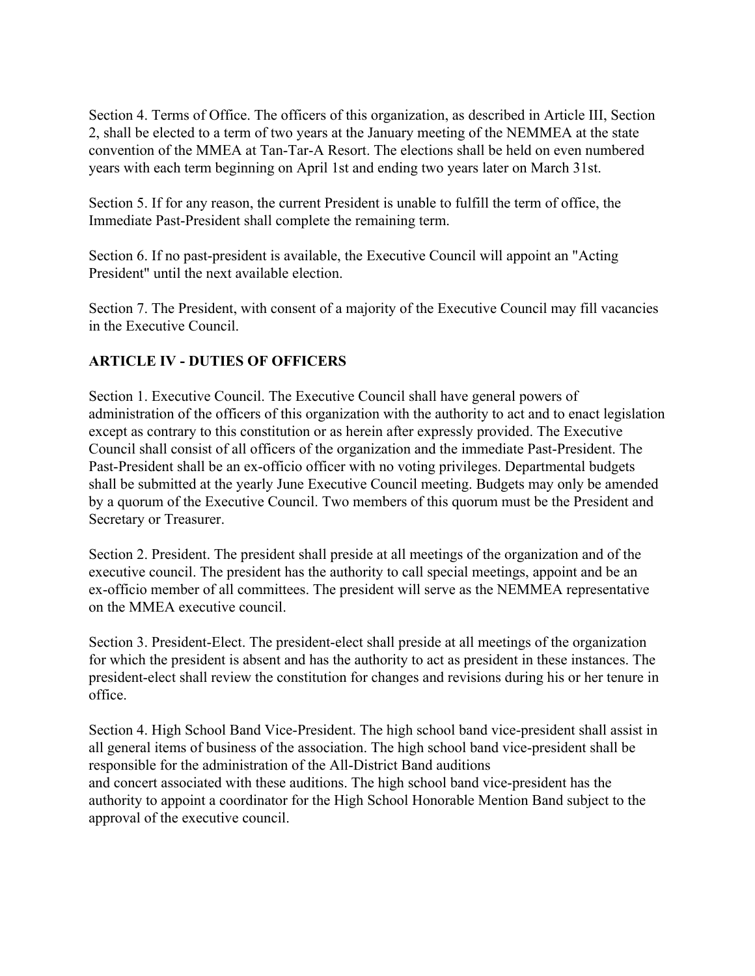Section 4. Terms of Office. The officers of this organization, as described in Article III, Section 2, shall be elected to a term of two years at the January meeting of the NEMMEA at the state convention of the MMEA at Tan-Tar-A Resort. The elections shall be held on even numbered years with each term beginning on April 1st and ending two years later on March 31st.

Section 5. If for any reason, the current President is unable to fulfill the term of office, the Immediate Past-President shall complete the remaining term.

Section 6. If no past-president is available, the Executive Council will appoint an "Acting President" until the next available election.

Section 7. The President, with consent of a majority of the Executive Council may fill vacancies in the Executive Council.

## **ARTICLE IV - DUTIES OF OFFICERS**

Section 1. Executive Council. The Executive Council shall have general powers of administration of the officers of this organization with the authority to act and to enact legislation except as contrary to this constitution or as herein after expressly provided. The Executive Council shall consist of all officers of the organization and the immediate Past-President. The Past-President shall be an ex-officio officer with no voting privileges. Departmental budgets shall be submitted at the yearly June Executive Council meeting. Budgets may only be amended by a quorum of the Executive Council. Two members of this quorum must be the President and Secretary or Treasurer.

Section 2. President. The president shall preside at all meetings of the organization and of the executive council. The president has the authority to call special meetings, appoint and be an ex-officio member of all committees. The president will serve as the NEMMEA representative on the MMEA executive council.

Section 3. President-Elect. The president-elect shall preside at all meetings of the organization for which the president is absent and has the authority to act as president in these instances. The president-elect shall review the constitution for changes and revisions during his or her tenure in office.

Section 4. High School Band Vice-President. The high school band vice-president shall assist in all general items of business of the association. The high school band vice-president shall be responsible for the administration of the All-District Band auditions and concert associated with these auditions. The high school band vice-president has the authority to appoint a coordinator for the High School Honorable Mention Band subject to the approval of the executive council.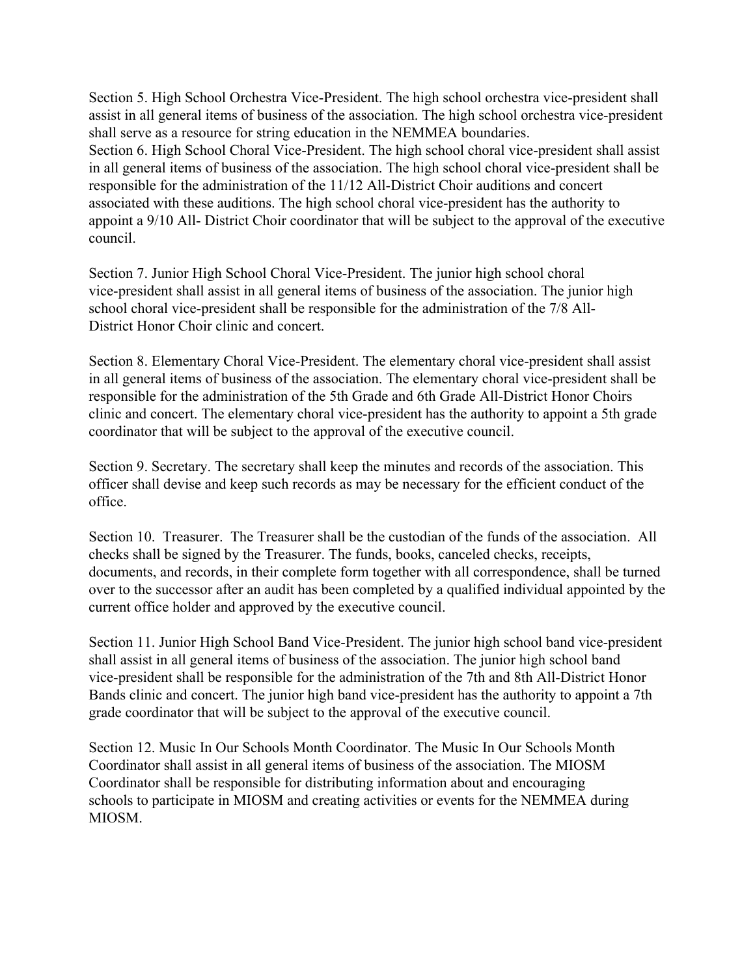Section 5. High School Orchestra Vice-President. The high school orchestra vice-president shall assist in all general items of business of the association. The high school orchestra vice-president shall serve as a resource for string education in the NEMMEA boundaries. Section 6. High School Choral Vice-President. The high school choral vice-president shall assist in all general items of business of the association. The high school choral vice-president shall be responsible for the administration of the 11/12 All-District Choir auditions and concert associated with these auditions. The high school choral vice-president has the authority to appoint a 9/10 All- District Choir coordinator that will be subject to the approval of the executive council.

Section 7. Junior High School Choral Vice-President. The junior high school choral vice-president shall assist in all general items of business of the association. The junior high school choral vice-president shall be responsible for the administration of the 7/8 All-District Honor Choir clinic and concert.

Section 8. Elementary Choral Vice-President. The elementary choral vice-president shall assist in all general items of business of the association. The elementary choral vice-president shall be responsible for the administration of the 5th Grade and 6th Grade All-District Honor Choirs clinic and concert. The elementary choral vice-president has the authority to appoint a 5th grade coordinator that will be subject to the approval of the executive council.

Section 9. Secretary. The secretary shall keep the minutes and records of the association. This officer shall devise and keep such records as may be necessary for the efficient conduct of the office.

Section 10. Treasurer. The Treasurer shall be the custodian of the funds of the association. All checks shall be signed by the Treasurer. The funds, books, canceled checks, receipts, documents, and records, in their complete form together with all correspondence, shall be turned over to the successor after an audit has been completed by a qualified individual appointed by the current office holder and approved by the executive council.

Section 11. Junior High School Band Vice-President. The junior high school band vice-president shall assist in all general items of business of the association. The junior high school band vice-president shall be responsible for the administration of the 7th and 8th All-District Honor Bands clinic and concert. The junior high band vice-president has the authority to appoint a 7th grade coordinator that will be subject to the approval of the executive council.

Section 12. Music In Our Schools Month Coordinator. The Music In Our Schools Month Coordinator shall assist in all general items of business of the association. The MIOSM Coordinator shall be responsible for distributing information about and encouraging schools to participate in MIOSM and creating activities or events for the NEMMEA during MIOSM.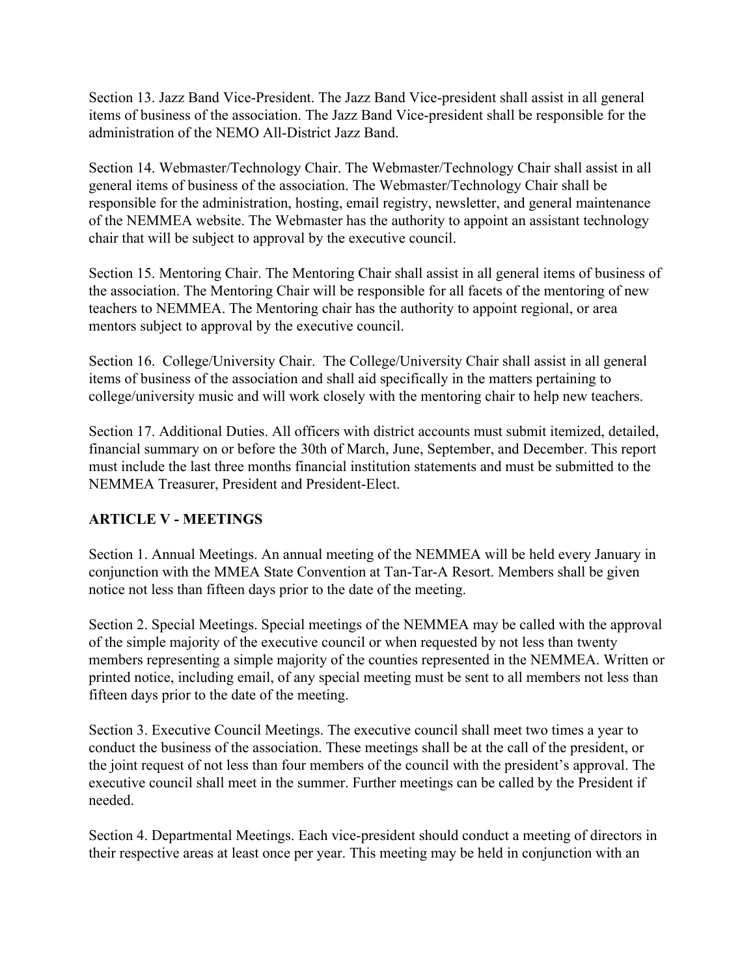Section 13. Jazz Band Vice-President. The Jazz Band Vice-president shall assist in all general items of business of the association. The Jazz Band Vice-president shall be responsible for the administration of the NEMO All-District Jazz Band.

Section 14. Webmaster/Technology Chair. The Webmaster/Technology Chair shall assist in all general items of business of the association. The Webmaster/Technology Chair shall be responsible for the administration, hosting, email registry, newsletter, and general maintenance of the NEMMEA website. The Webmaster has the authority to appoint an assistant technology chair that will be subject to approval by the executive council.

Section 15. Mentoring Chair. The Mentoring Chair shall assist in all general items of business of the association. The Mentoring Chair will be responsible for all facets of the mentoring of new teachers to NEMMEA. The Mentoring chair has the authority to appoint regional, or area mentors subject to approval by the executive council.

Section 16. College/University Chair. The College/University Chair shall assist in all general items of business of the association and shall aid specifically in the matters pertaining to college/university music and will work closely with the mentoring chair to help new teachers.

Section 17. Additional Duties. All officers with district accounts must submit itemized, detailed, financial summary on or before the 30th of March, June, September, and December. This report must include the last three months financial institution statements and must be submitted to the NEMMEA Treasurer, President and President-Elect.

# **ARTICLE V - MEETINGS**

Section 1. Annual Meetings. An annual meeting of the NEMMEA will be held every January in conjunction with the MMEA State Convention at Tan-Tar-A Resort. Members shall be given notice not less than fifteen days prior to the date of the meeting.

Section 2. Special Meetings. Special meetings of the NEMMEA may be called with the approval of the simple majority of the executive council or when requested by not less than twenty members representing a simple majority of the counties represented in the NEMMEA. Written or printed notice, including email, of any special meeting must be sent to all members not less than fifteen days prior to the date of the meeting.

Section 3. Executive Council Meetings. The executive council shall meet two times a year to conduct the business of the association. These meetings shall be at the call of the president, or the joint request of not less than four members of the council with the president's approval. The executive council shall meet in the summer. Further meetings can be called by the President if needed.

Section 4. Departmental Meetings. Each vice-president should conduct a meeting of directors in their respective areas at least once per year. This meeting may be held in conjunction with an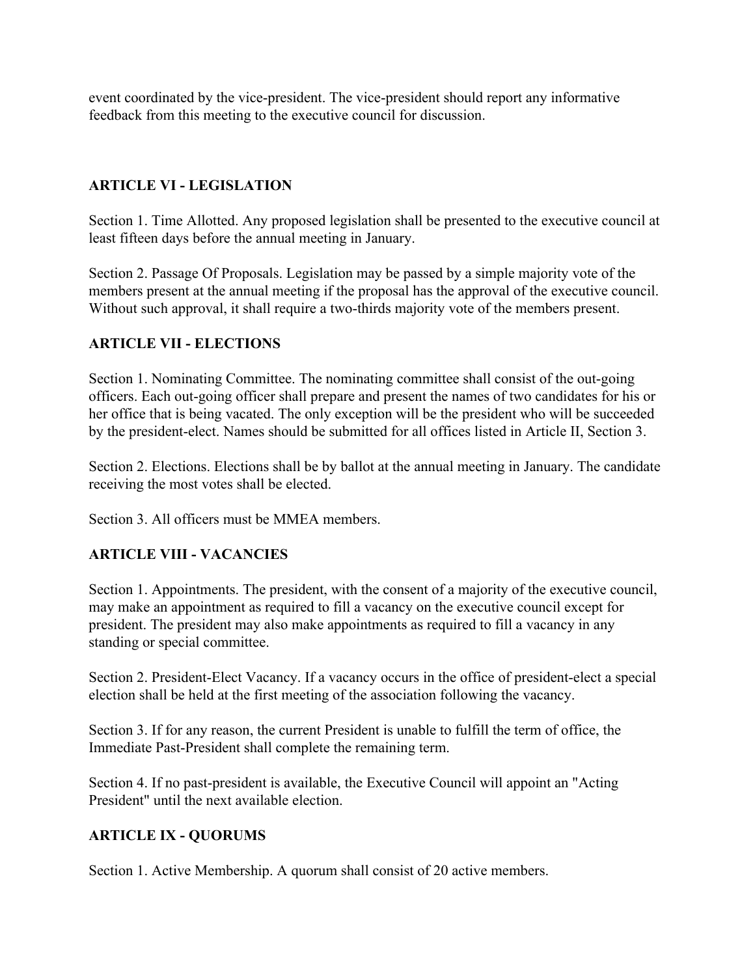event coordinated by the vice-president. The vice-president should report any informative feedback from this meeting to the executive council for discussion.

## **ARTICLE VI - LEGISLATION**

Section 1. Time Allotted. Any proposed legislation shall be presented to the executive council at least fifteen days before the annual meeting in January.

Section 2. Passage Of Proposals. Legislation may be passed by a simple majority vote of the members present at the annual meeting if the proposal has the approval of the executive council. Without such approval, it shall require a two-thirds majority vote of the members present.

#### **ARTICLE VII - ELECTIONS**

Section 1. Nominating Committee. The nominating committee shall consist of the out-going officers. Each out-going officer shall prepare and present the names of two candidates for his or her office that is being vacated. The only exception will be the president who will be succeeded by the president-elect. Names should be submitted for all offices listed in Article II, Section 3.

Section 2. Elections. Elections shall be by ballot at the annual meeting in January. The candidate receiving the most votes shall be elected.

Section 3. All officers must be MMEA members.

#### **ARTICLE VIII - VACANCIES**

Section 1. Appointments. The president, with the consent of a majority of the executive council, may make an appointment as required to fill a vacancy on the executive council except for president. The president may also make appointments as required to fill a vacancy in any standing or special committee.

Section 2. President-Elect Vacancy. If a vacancy occurs in the office of president-elect a special election shall be held at the first meeting of the association following the vacancy.

Section 3. If for any reason, the current President is unable to fulfill the term of office, the Immediate Past-President shall complete the remaining term.

Section 4. If no past-president is available, the Executive Council will appoint an "Acting President" until the next available election.

#### **ARTICLE IX - QUORUMS**

Section 1. Active Membership. A quorum shall consist of 20 active members.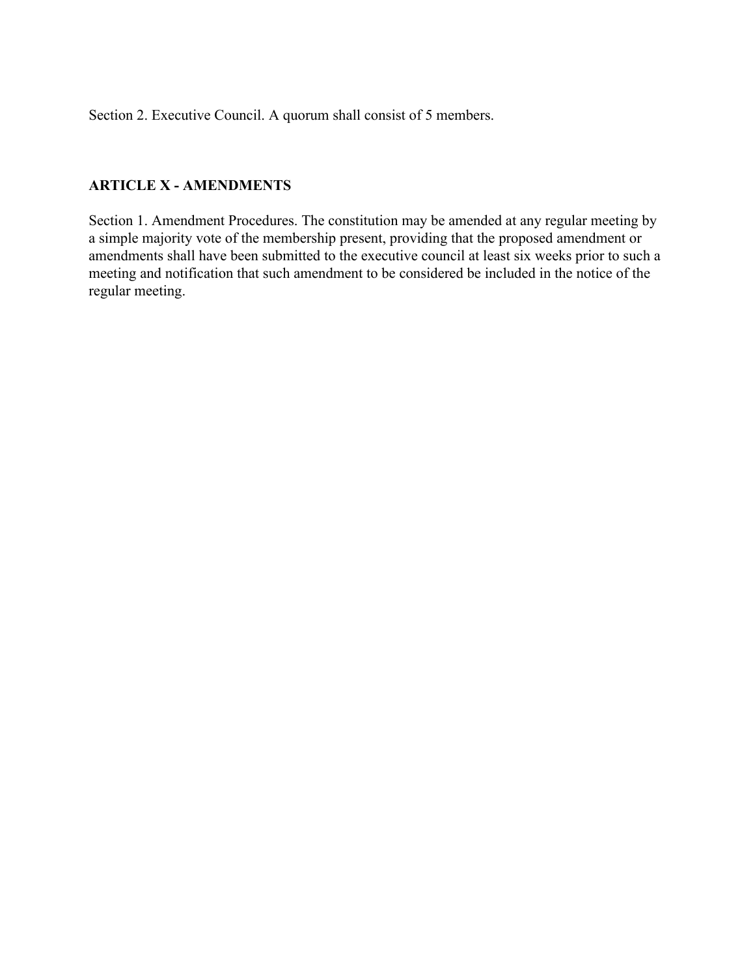Section 2. Executive Council. A quorum shall consist of 5 members.

## **ARTICLE X - AMENDMENTS**

Section 1. Amendment Procedures. The constitution may be amended at any regular meeting by a simple majority vote of the membership present, providing that the proposed amendment or amendments shall have been submitted to the executive council at least six weeks prior to such a meeting and notification that such amendment to be considered be included in the notice of the regular meeting.